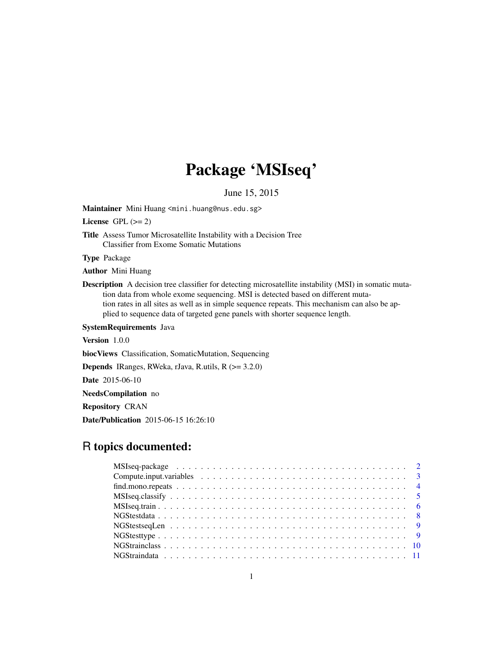## Package 'MSIseq'

June 15, 2015

Maintainer Mini Huang <mini.huang@nus.edu.sg>

License GPL  $(>= 2)$ 

Title Assess Tumor Microsatellite Instability with a Decision Tree Classifier from Exome Somatic Mutations

Type Package

Author Mini Huang

Description A decision tree classifier for detecting microsatellite instability (MSI) in somatic mutation data from whole exome sequencing. MSI is detected based on different mutation rates in all sites as well as in simple sequence repeats. This mechanism can also be applied to sequence data of targeted gene panels with shorter sequence length.

SystemRequirements Java

Version 1.0.0

biocViews Classification, SomaticMutation, Sequencing

Depends IRanges, RWeka, rJava, R.utils, R (>= 3.2.0)

Date 2015-06-10

NeedsCompilation no

Repository CRAN

Date/Publication 2015-06-15 16:26:10

## R topics documented: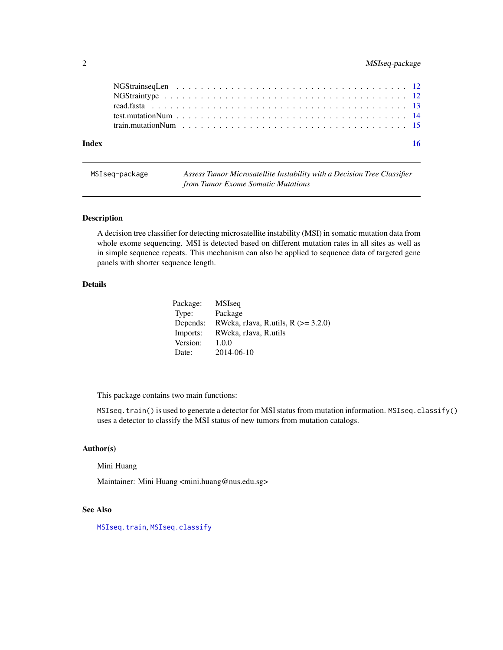## <span id="page-1-0"></span>2 MSIseq-package

| Index |  |  |  |  |  |  |  |  |  |  |  |  |  |  |  |
|-------|--|--|--|--|--|--|--|--|--|--|--|--|--|--|--|
|       |  |  |  |  |  |  |  |  |  |  |  |  |  |  |  |
|       |  |  |  |  |  |  |  |  |  |  |  |  |  |  |  |

| MSIseg-package | Assess Tumor Microsatellite Instability with a Decision Tree Classifier |
|----------------|-------------------------------------------------------------------------|
|                | from Tumor Exome Somatic Mutations                                      |

## Description

A decision tree classifier for detecting microsatellite instability (MSI) in somatic mutation data from whole exome sequencing. MSI is detected based on different mutation rates in all sites as well as in simple sequence repeats. This mechanism can also be applied to sequence data of targeted gene panels with shorter sequence length.

## Details

| Package: | <b>MSIseq</b>                         |
|----------|---------------------------------------|
| Type:    | Package                               |
| Depends: | RWeka, rJava, R.utils, R $(>= 3.2.0)$ |
| Imports: | RWeka, rJava, R.utils                 |
| Version: | 1.0.0                                 |
| Date:    | 2014-06-10                            |

This package contains two main functions:

MSIseq.train() is used to generate a detector for MSI status from mutation information. MSIseq.classify() uses a detector to classify the MSI status of new tumors from mutation catalogs.

## Author(s)

Mini Huang

Maintainer: Mini Huang <mini.huang@nus.edu.sg>

## See Also

[MSIseq.train](#page-5-1), [MSIseq.classify](#page-4-1)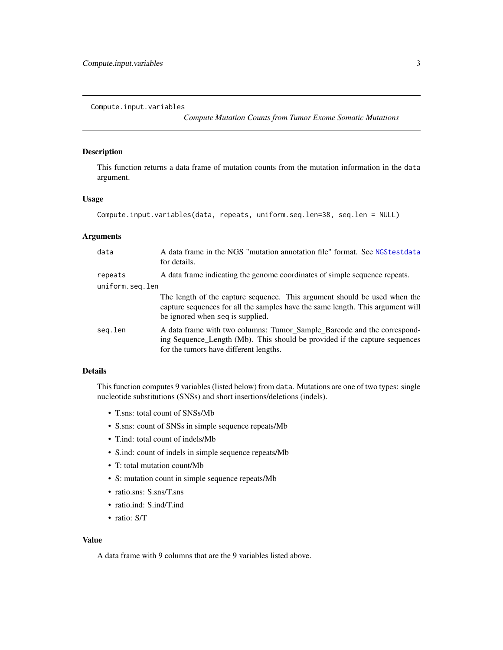<span id="page-2-1"></span><span id="page-2-0"></span>Compute.input.variables

*Compute Mutation Counts from Tumor Exome Somatic Mutations*

#### Description

This function returns a data frame of mutation counts from the mutation information in the data argument.

## Usage

```
Compute.input.variables(data, repeats, uniform.seq.len=38, seq.len = NULL)
```
## Arguments

| data            | A data frame in the NGS "mutation annotation file" format. See NGStestdata<br>for details.                                                                                                      |
|-----------------|-------------------------------------------------------------------------------------------------------------------------------------------------------------------------------------------------|
| repeats         | A data frame indicating the genome coordinates of simple sequence repeats.                                                                                                                      |
| uniform.seq.len |                                                                                                                                                                                                 |
|                 | The length of the capture sequence. This argument should be used when the<br>capture sequences for all the samples have the same length. This argument will<br>be ignored when seq is supplied. |
| seg.len         | A data frame with two columns: Tumor_Sample_Barcode and the correspond-<br>ing Sequence_Length (Mb). This should be provided if the capture sequences<br>for the tumors have different lengths. |

## Details

This function computes 9 variables (listed below) from data. Mutations are one of two types: single nucleotide substitutions (SNSs) and short insertions/deletions (indels).

- T.sns: total count of SNSs/Mb
- S.sns: count of SNSs in simple sequence repeats/Mb
- T.ind: total count of indels/Mb
- S.ind: count of indels in simple sequence repeats/Mb
- T: total mutation count/Mb
- S: mutation count in simple sequence repeats/Mb
- ratio.sns: S.sns/T.sns
- ratio.ind: S.ind/T.ind
- ratio: S/T

## Value

A data frame with 9 columns that are the 9 variables listed above.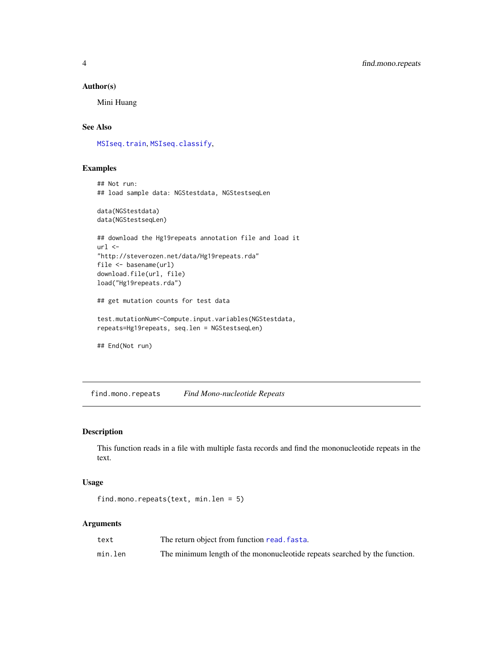#### <span id="page-3-0"></span>Author(s)

Mini Huang

## See Also

[MSIseq.train](#page-5-1), [MSIseq.classify](#page-4-1),

## Examples

```
## Not run:
## load sample data: NGStestdata, NGStestseqLen
data(NGStestdata)
data(NGStestseqLen)
## download the Hg19repeats annotation file and load it
url <-
"http://steverozen.net/data/Hg19repeats.rda"
file <- basename(url)
download.file(url, file)
load("Hg19repeats.rda")
## get mutation counts for test data
test.mutationNum<-Compute.input.variables(NGStestdata,
repeats=Hg19repeats, seq.len = NGStestseqLen)
## End(Not run)
```
<span id="page-3-1"></span>find.mono.repeats *Find Mono-nucleotide Repeats*

#### Description

This function reads in a file with multiple fasta records and find the mononucleotide repeats in the text.

#### Usage

```
find.mono.repeats(text, min.len = 5)
```
#### Arguments

| text    | The return object from function read. fasta.                               |
|---------|----------------------------------------------------------------------------|
| min.len | The minimum length of the mononucleotide repeats searched by the function. |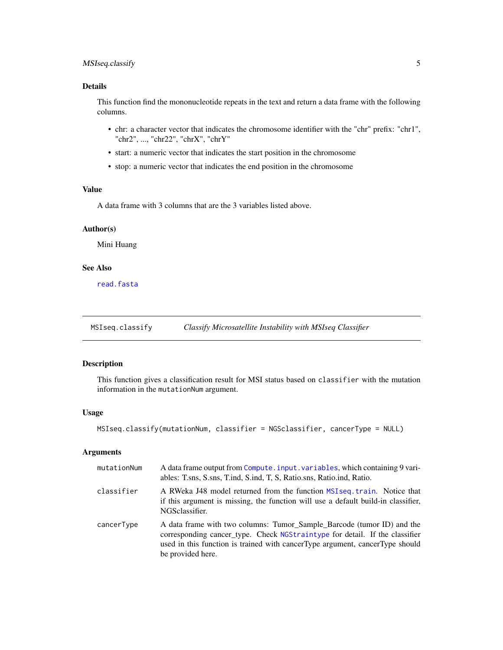## <span id="page-4-0"></span>MSIseq.classify 5

## Details

This function find the mononucleotide repeats in the text and return a data frame with the following columns.

- chr: a character vector that indicates the chromosome identifier with the "chr" prefix: "chr1", "chr2", ..., "chr22", "chrX", "chrY"
- start: a numeric vector that indicates the start position in the chromosome
- stop: a numeric vector that indicates the end position in the chromosome

## Value

A data frame with 3 columns that are the 3 variables listed above.

#### Author(s)

Mini Huang

## See Also

[read.fasta](#page-12-1)

<span id="page-4-1"></span>MSIseq.classify *Classify Microsatellite Instability with MSIseq Classifier*

#### Description

This function gives a classification result for MSI status based on classifier with the mutation information in the mutationNum argument.

#### Usage

```
MSIseq.classify(mutationNum, classifier = NGSclassifier, cancerType = NULL)
```
#### Arguments

| mutationNum | A data frame output from Compute.input.variables, which containing 9 vari-<br>ables: T.sns, S.sns, T.ind, S.ind, T. S. Ratio.sns, Ratio.ind, Ratio.                                                                                                          |
|-------------|--------------------------------------------------------------------------------------------------------------------------------------------------------------------------------------------------------------------------------------------------------------|
| classifier  | A RWeka J48 model returned from the function MSIseq. train. Notice that<br>if this argument is missing, the function will use a default build-in classifier,<br>NGSclassifier.                                                                               |
| cancerType  | A data frame with two columns: Tumor_Sample_Barcode (tumor ID) and the<br>corresponding cancer_type. Check NGStraintype for detail. If the classifier<br>used in this function is trained with cancer Type argument, cancer Type should<br>be provided here. |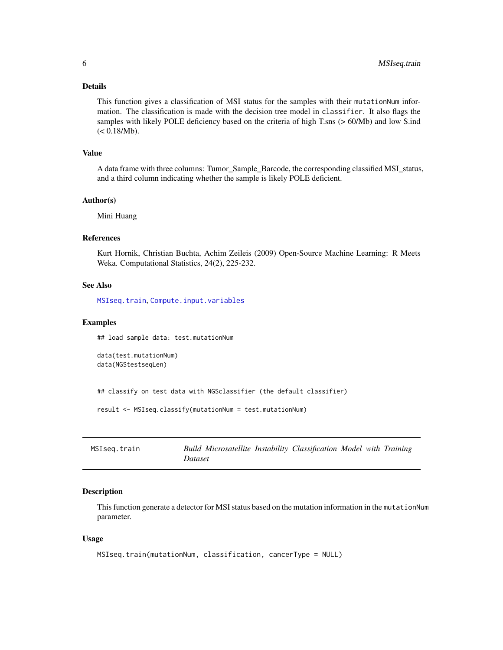## <span id="page-5-0"></span>Details

This function gives a classification of MSI status for the samples with their mutationNum information. The classification is made with the decision tree model in classifier. It also flags the samples with likely POLE deficiency based on the criteria of high T.sns (> 60/Mb) and low S.ind  $(< 0.18/Mb).$ 

### Value

A data frame with three columns: Tumor\_Sample\_Barcode, the corresponding classified MSI\_status, and a third column indicating whether the sample is likely POLE deficient.

#### Author(s)

Mini Huang

## References

Kurt Hornik, Christian Buchta, Achim Zeileis (2009) Open-Source Machine Learning: R Meets Weka. Computational Statistics, 24(2), 225-232.

## See Also

[MSIseq.train](#page-5-1), [Compute.input.variables](#page-2-1)

#### Examples

## load sample data: test.mutationNum

```
data(test.mutationNum)
data(NGStestseqLen)
```
## classify on test data with NGSclassifier (the default classifier)

```
result <- MSIseq.classify(mutationNum = test.mutationNum)
```
<span id="page-5-1"></span>

| MSIseg.train | Build Microsatellite Instability Classification Model with Training |  |  |  |
|--------------|---------------------------------------------------------------------|--|--|--|
|              | Dataset                                                             |  |  |  |

## Description

This function generate a detector for MSI status based on the mutation information in the mutationNum parameter.

#### Usage

```
MSIseq.train(mutationNum, classification, cancerType = NULL)
```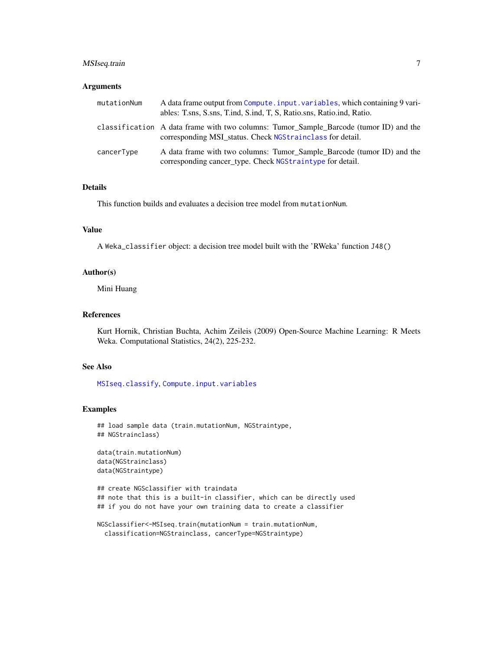## <span id="page-6-0"></span>MSIseq.train 7

#### **Arguments**

| mutationNum | A data frame output from Compute. input. variables, which containing 9 vari-<br>ables: T.sns, S.sns, T.ind, S.ind, T. S. Ratio.sns, Ratio.ind, Ratio. |
|-------------|-------------------------------------------------------------------------------------------------------------------------------------------------------|
|             | classification A data frame with two columns: Tumor_Sample_Barcode (tumor ID) and the<br>corresponding MSI status. Check NGStrainclass for detail.    |
| cancerType  | A data frame with two columns: Tumor_Sample_Barcode (tumor ID) and the<br>corresponding cancer_type. Check NGStraintype for detail.                   |

#### Details

This function builds and evaluates a decision tree model from mutationNum.

### Value

A Weka\_classifier object: a decision tree model built with the 'RWeka' function J48()

## Author(s)

Mini Huang

#### References

Kurt Hornik, Christian Buchta, Achim Zeileis (2009) Open-Source Machine Learning: R Meets Weka. Computational Statistics, 24(2), 225-232.

### See Also

[MSIseq.classify](#page-4-1), [Compute.input.variables](#page-2-1)

#### Examples

```
## load sample data (train.mutationNum, NGStraintype,
## NGStrainclass)
```

```
data(train.mutationNum)
data(NGStrainclass)
data(NGStraintype)
```

```
## create NGSclassifier with traindata
## note that this is a built-in classifier, which can be directly used
## if you do not have your own training data to create a classifier
```

```
NGSclassifier<-MSIseq.train(mutationNum = train.mutationNum,
 classification=NGStrainclass, cancerType=NGStraintype)
```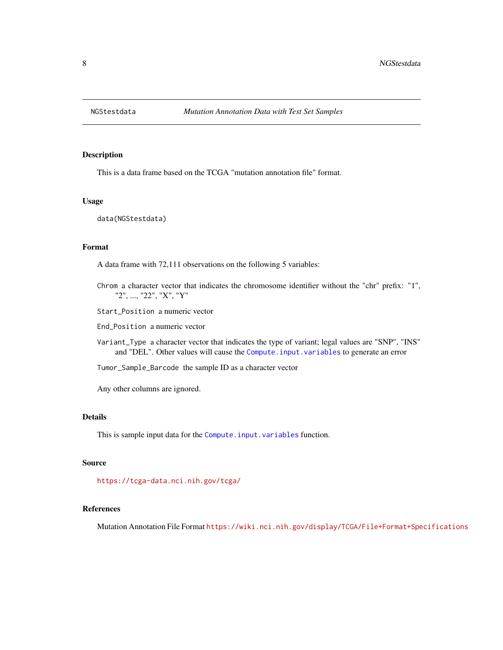<span id="page-7-1"></span><span id="page-7-0"></span>

This is a data frame based on the TCGA "mutation annotation file" format.

#### Usage

data(NGStestdata)

#### Format

A data frame with 72,111 observations on the following 5 variables:

- Chrom a character vector that indicates the chromosome identifier without the "chr" prefix: "1", "2", ..., "22", "X", "Y"
- Start\_Position a numeric vector

End\_Position a numeric vector

- Variant\_Type a character vector that indicates the type of variant; legal values are "SNP", "INS" and "DEL". Other values will cause the [Compute.input.variables](#page-2-1) to generate an error
- Tumor\_Sample\_Barcode the sample ID as a character vector

Any other columns are ignored.

### Details

This is sample input data for the [Compute.input.variables](#page-2-1) function.

#### Source

<https://tcga-data.nci.nih.gov/tcga/>

#### References

Mutation Annotation File Format <https://wiki.nci.nih.gov/display/TCGA/File+Format+Specifications>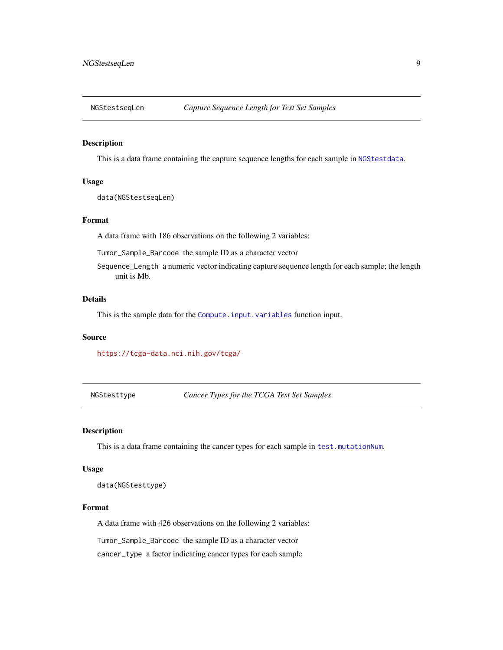<span id="page-8-0"></span>

This is a data frame containing the capture sequence lengths for each sample in [NGStestdata](#page-7-1).

#### Usage

```
data(NGStestseqLen)
```
#### Format

A data frame with 186 observations on the following 2 variables:

Tumor\_Sample\_Barcode the sample ID as a character vector

Sequence\_Length a numeric vector indicating capture sequence length for each sample; the length unit is Mb.

## Details

This is the sample data for the [Compute.input.variables](#page-2-1) function input.

#### Source

<https://tcga-data.nci.nih.gov/tcga/>

NGStesttype *Cancer Types for the TCGA Test Set Samples*

#### Description

This is a data frame containing the cancer types for each sample in [test.mutationNum](#page-13-1).

#### Usage

data(NGStesttype)

### Format

A data frame with 426 observations on the following 2 variables:

Tumor\_Sample\_Barcode the sample ID as a character vector

cancer\_type a factor indicating cancer types for each sample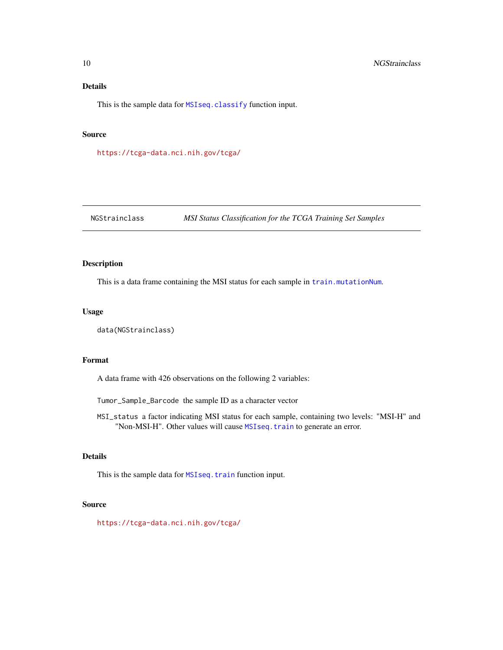## <span id="page-9-0"></span>Details

This is the sample data for [MSIseq.classify](#page-4-1) function input.

### Source

<https://tcga-data.nci.nih.gov/tcga/>

<span id="page-9-1"></span>NGStrainclass *MSI Status Classification for the TCGA Training Set Samples*

## Description

This is a data frame containing the MSI status for each sample in [train.mutationNum](#page-14-1).

#### Usage

```
data(NGStrainclass)
```
#### Format

A data frame with 426 observations on the following 2 variables:

Tumor\_Sample\_Barcode the sample ID as a character vector

MSI\_status a factor indicating MSI status for each sample, containing two levels: "MSI-H" and "Non-MSI-H". Other values will cause [MSIseq.train](#page-5-1) to generate an error.

## Details

This is the sample data for [MSIseq.train](#page-5-1) function input.

#### Source

<https://tcga-data.nci.nih.gov/tcga/>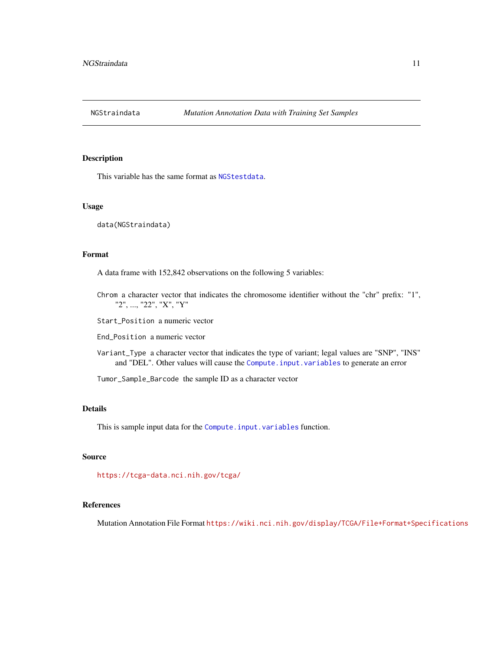<span id="page-10-1"></span><span id="page-10-0"></span>

This variable has the same format as [NGStestdata](#page-7-1).

#### Usage

data(NGStraindata)

#### Format

A data frame with 152,842 observations on the following 5 variables:

Chrom a character vector that indicates the chromosome identifier without the "chr" prefix: "1", "2", ..., "22", "X", "Y"

Start\_Position a numeric vector

End\_Position a numeric vector

Variant\_Type a character vector that indicates the type of variant; legal values are "SNP", "INS" and "DEL". Other values will cause the [Compute.input.variables](#page-2-1) to generate an error

Tumor\_Sample\_Barcode the sample ID as a character vector

## Details

This is sample input data for the [Compute.input.variables](#page-2-1) function.

## Source

<https://tcga-data.nci.nih.gov/tcga/>

## References

Mutation Annotation File Format <https://wiki.nci.nih.gov/display/TCGA/File+Format+Specifications>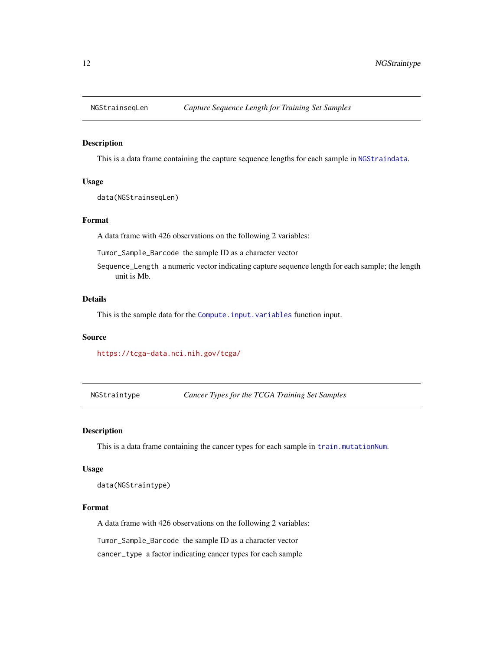<span id="page-11-0"></span>

This is a data frame containing the capture sequence lengths for each sample in [NGStraindata](#page-10-1).

#### Usage

data(NGStrainseqLen)

#### Format

A data frame with 426 observations on the following 2 variables:

Tumor\_Sample\_Barcode the sample ID as a character vector

Sequence\_Length a numeric vector indicating capture sequence length for each sample; the length unit is Mb.

## Details

This is the sample data for the [Compute.input.variables](#page-2-1) function input.

#### Source

<https://tcga-data.nci.nih.gov/tcga/>

<span id="page-11-1"></span>NGStraintype *Cancer Types for the TCGA Training Set Samples*

#### Description

This is a data frame containing the cancer types for each sample in [train.mutationNum](#page-14-1).

#### Usage

data(NGStraintype)

### Format

A data frame with 426 observations on the following 2 variables:

Tumor\_Sample\_Barcode the sample ID as a character vector

cancer\_type a factor indicating cancer types for each sample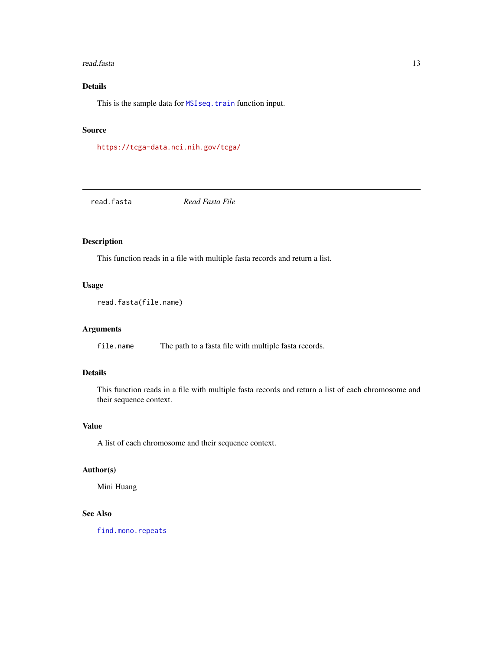#### <span id="page-12-0"></span>read.fasta 13

## Details

This is the sample data for [MSIseq.train](#page-5-1) function input.

### Source

<https://tcga-data.nci.nih.gov/tcga/>

<span id="page-12-1"></span>read.fasta *Read Fasta File*

## Description

This function reads in a file with multiple fasta records and return a list.

## Usage

```
read.fasta(file.name)
```
## Arguments

file.name The path to a fasta file with multiple fasta records.

## Details

This function reads in a file with multiple fasta records and return a list of each chromosome and their sequence context.

## Value

A list of each chromosome and their sequence context.

## Author(s)

Mini Huang

## See Also

[find.mono.repeats](#page-3-1)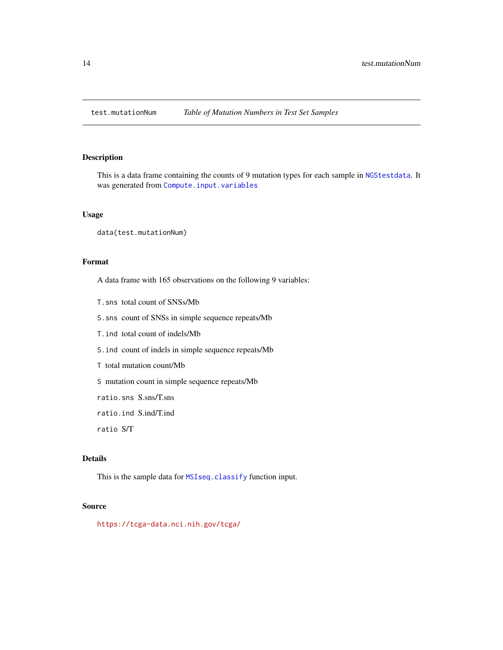<span id="page-13-1"></span><span id="page-13-0"></span>

This is a data frame containing the counts of 9 mutation types for each sample in [NGStestdata](#page-7-1). It was generated from [Compute.input.variables](#page-2-1)

#### Usage

data(test.mutationNum)

## Format

A data frame with 165 observations on the following 9 variables:

T.sns total count of SNSs/Mb

S.sns count of SNSs in simple sequence repeats/Mb

T.ind total count of indels/Mb

S.ind count of indels in simple sequence repeats/Mb

T total mutation count/Mb

S mutation count in simple sequence repeats/Mb

ratio.sns S.sns/T.sns

ratio.ind S.ind/T.ind

ratio S/T

## Details

This is the sample data for [MSIseq.classify](#page-4-1) function input.

## Source

<https://tcga-data.nci.nih.gov/tcga/>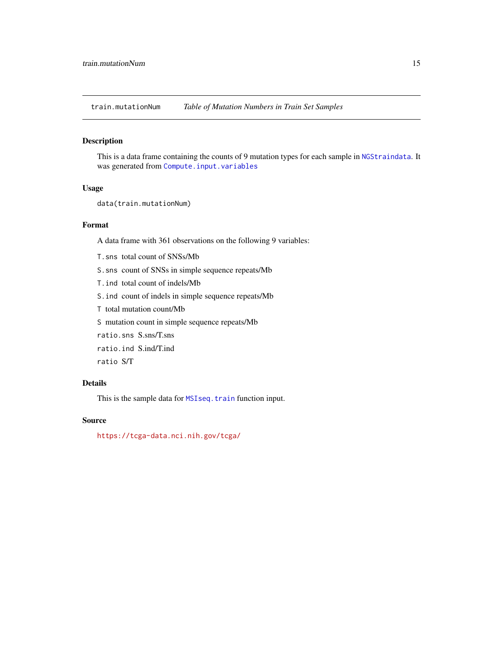<span id="page-14-1"></span><span id="page-14-0"></span>train.mutationNum *Table of Mutation Numbers in Train Set Samples*

## Description

This is a data frame containing the counts of 9 mutation types for each sample in [NGStraindata](#page-10-1). It was generated from [Compute.input.variables](#page-2-1)

#### Usage

```
data(train.mutationNum)
```
## Format

A data frame with 361 observations on the following 9 variables:

- T.sns total count of SNSs/Mb
- S.sns count of SNSs in simple sequence repeats/Mb
- T.ind total count of indels/Mb
- S.ind count of indels in simple sequence repeats/Mb
- T total mutation count/Mb
- S mutation count in simple sequence repeats/Mb
- ratio.sns S.sns/T.sns
- ratio.ind S.ind/T.ind
- ratio S/T

## Details

This is the sample data for [MSIseq.train](#page-5-1) function input.

## Source

<https://tcga-data.nci.nih.gov/tcga/>